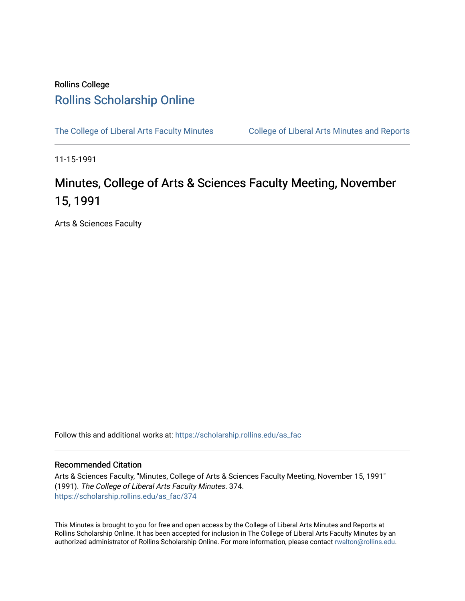#### Rollins College [Rollins Scholarship Online](https://scholarship.rollins.edu/)

[The College of Liberal Arts Faculty Minutes](https://scholarship.rollins.edu/as_fac) College of Liberal Arts Minutes and Reports

11-15-1991

#### Minutes, College of Arts & Sciences Faculty Meeting, November 15, 1991

Arts & Sciences Faculty

Follow this and additional works at: [https://scholarship.rollins.edu/as\\_fac](https://scholarship.rollins.edu/as_fac?utm_source=scholarship.rollins.edu%2Fas_fac%2F374&utm_medium=PDF&utm_campaign=PDFCoverPages) 

#### Recommended Citation

Arts & Sciences Faculty, "Minutes, College of Arts & Sciences Faculty Meeting, November 15, 1991" (1991). The College of Liberal Arts Faculty Minutes. 374. [https://scholarship.rollins.edu/as\\_fac/374](https://scholarship.rollins.edu/as_fac/374?utm_source=scholarship.rollins.edu%2Fas_fac%2F374&utm_medium=PDF&utm_campaign=PDFCoverPages) 

This Minutes is brought to you for free and open access by the College of Liberal Arts Minutes and Reports at Rollins Scholarship Online. It has been accepted for inclusion in The College of Liberal Arts Faculty Minutes by an authorized administrator of Rollins Scholarship Online. For more information, please contact [rwalton@rollins.edu](mailto:rwalton@rollins.edu).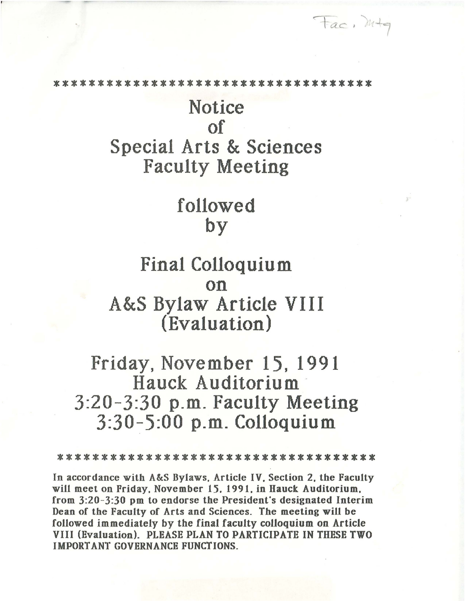\* \* \* \* \* \* \* \* \* \* \* \* \* \* \* \* \* \* \* \*

Fac, mtg

## Notice of Special Arts & Sciences Faculty Meeting

# followed by

#### Final Colloquium on A&S Bylaw Article VIII (Evaluation)

### Friday, November 15, 1991 Hauck Auditorium - 3:20-3:30 p.m. Faculty Meeting 3:30-5:00 p.m. Colloquium

\*\*\*\*\*\*\*\*\*\*\*\*\*\*\*\*\*\*\*\*\*\*\*\*\*\*\*\*\*

In accordance with A&S Bylaws. Article IV. Section 2. the Faculty will meet on Friday, November 15, 1991, in Hauck Auditorium, from 3:20-3:30 pm to endorse the President's designated Interim Dean of the Faculty of Arts and Sciences. The meeting will be followed immediately by the final faculty colloquium on Article VIII (Evaluation). PLEASE PLAN TO PARTICIPATE IN THESE TWO IMPORT ANT GOVERNANCE FUNCTIONS.